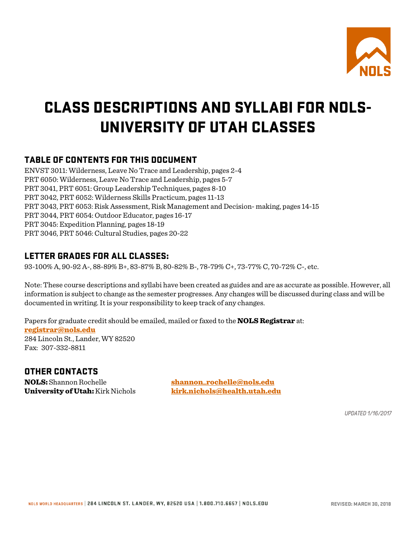

# CLASS DESCRIPTIONS AND SYLLABI FOR NOLS-UNIVERSITY OF UTAH CLASSES

# TABLE OF CONTENTS FOR THIS DOCUMENT

ENVST 3011: Wilderness, Leave No Trace and Leadership, pages 2-4 PRT 6050: Wilderness, Leave No Trace and Leadership, pages 5-7 PRT 3041, PRT 6051: Group Leadership Techniques, pages 8-10 PRT 3042, PRT 6052: Wilderness Skills Practicum, pages 11-13 PRT 3043, PRT 6053: Risk Assessment, Risk Management and Decision- making, pages 14-15 PRT 3044, PRT 6054: Outdoor Educator, pages 16-17 PRT 3045: Expedition Planning, pages 18-19 PRT 3046, PRT 5046: Cultural Studies, pages 20-22

# LETTER GRADES FOR ALL CLASSES:

93-100% A, 90-92 A-, 88-89% B+, 83-87% B, 80-82% B-, 78-79% C+, 73-77% C, 70-72% C-, etc.

Note: These course descriptions and syllabi have been created as guides and are as accurate as possible. However, all information is subject to change as the semester progresses. Any changes will be discussed during class and will be documented in writing. It is your responsibility to keep track of any changes.

Papers for graduate credit should be emailed, mailed or faxed to the **NOLS Registrar** at: [registrar@nols.edu](mailto:registrar@nols.edu) 284 Lincoln St., Lander, WY 82520 Fax: 307-332-8811

# OTHER CONTACTS

**NOLS:** Shannon Rochelle [shannon\\_rochelle@nols.edu](mailto:shannon_rochelle@nols.edu) University of Utah: Kirk Nichols [kirk.nichols@health.utah.edu](mailto:kirk.nichols@health.utah.edu)

*UPDATED 1/16/2017*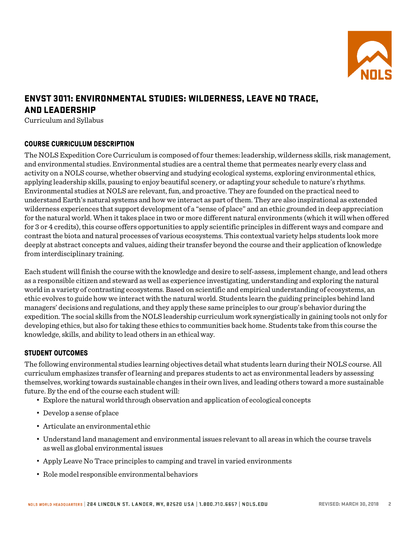

# ENVST 3011: ENVIRONMENTAL STUDIES: WILDERNESS, LEAVE NO TRACE, AND LEADERSHIP

Curriculum and Syllabus

# **COURSE CURRICULUM DESCRIPTION**

The NOLS Expedition Core Curriculum is composed of four themes: leadership, wilderness skills, risk management, and environmental studies. Environmental studies are a central theme that permeates nearly every class and activity on a NOLS course, whether observing and studying ecological systems, exploring environmental ethics, applying leadership skills, pausing to enjoy beautiful scenery, or adapting your schedule to nature's rhythms. Environmental studies at NOLS are relevant, fun, and proactive. They are founded on the practical need to understand Earth's natural systems and how we interact as part of them. They are also inspirational as extended wilderness experiences that support development of a "sense of place" and an ethic grounded in deep appreciation for the natural world. When it takes place in two or more different natural environments (which it will when offered for 3 or 4 credits), this course offers opportunities to apply scientific principles in different ways and compare and contrast the biota and natural processes of various ecosystems. This contextual variety helps students look more deeply at abstract concepts and values, aiding their transfer beyond the course and their application of knowledge from interdisciplinary training.

Each student will finish the course with the knowledge and desire to self-assess, implement change, and lead others as a responsible citizen and steward as well as experience investigating, understanding and exploring the natural world in a variety of contrasting ecosystems. Based on scientific and empirical understanding of ecosystems, an ethic evolves to guide how we interact with the natural world. Students learn the guiding principles behind land managers' decisions and regulations, and they apply these same principles to our group's behavior during the expedition. The social skills from the NOLS leadership curriculum work synergistically in gaining tools not only for developing ethics, but also for taking these ethics to communities back home. Students take from this course the knowledge, skills, and ability to lead others in an ethicalway.

#### **STUDENT OUTCOMES**

The following environmental studies learning objectives detail what students learn during their NOLS course. All curriculum emphasizes transfer of learning and prepares students to act as environmental leaders by assessing themselves, working towards sustainable changes in their own lives, and leading others toward a more sustainable future. By the end of the course each student will:

- Explore the natural world through observation and application of ecological concepts
- Develop a sense of place
- Articulate an environmental ethic
- Understand land management and environmental issues relevant to all areas in which the course travels as well as global environmental issues
- Apply Leave No Trace principles to camping and travel in varied environments
- Role model responsible environmentalbehaviors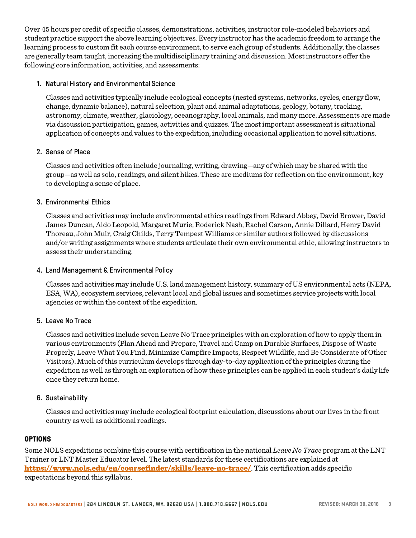Over 45 hours per credit of specific classes, demonstrations, activities, instructor role-modeled behaviors and student practice support the above learning objectives. Every instructor has the academic freedom to arrange the learning process to custom fit each course environment, to serve each group of students. Additionally, the classes are generally team taught, increasing the multidisciplinary training and discussion. Most instructors offer the following core information, activities, and assessments:

### 1. Natural History and Environmental Science

Classes and activities typically include ecological concepts (nested systems, networks, cycles, energy flow, change, dynamic balance), natural selection, plant and animal adaptations, geology, botany, tracking, astronomy, climate, weather, glaciology, oceanography, local animals, and many more. Assessments are made via discussion participation, games, activities and quizzes. The most important assessment is situational application of concepts and values to the expedition, including occasional application to novel situations.

# 2. Sense of Place

Classes and activities often include journaling, writing, drawing—any of which may be shared with the group—as well as solo, readings, and silent hikes. These are mediums for reflection on the environment, key to developing a sense of place.

# 3. Environmental Ethics

Classes and activities may include environmental ethics readings from Edward Abbey, David Brower, David James Duncan, Aldo Leopold, Margaret Murie, Roderick Nash, Rachel Carson, Annie Dillard, Henry David Thoreau, John Muir, Craig Childs, Terry Tempest Williams or similar authors followed by discussions and/or writing assignments where students articulate their own environmental ethic, allowing instructors to assess their understanding.

### 4. Land Management & Environmental Policy

Classes and activities may include U.S. land management history, summary of US environmental acts (NEPA, ESA, WA), ecosystem services, relevant local and global issues and sometimes service projects with local agencies or within the context of the expedition.

#### 5. Leave No Trace

Classes and activities include seven Leave No Trace principles with an exploration of how to apply them in various environments (Plan Ahead and Prepare, Travel and Camp on Durable Surfaces, Dispose of Waste Properly, Leave What You Find, Minimize Campfire Impacts, Respect Wildlife, and Be Considerate of Other Visitors). Much of this curriculum develops through day-to-day application of the principles during the expedition as well as through an exploration of how these principles can be applied in each student's daily life once they return home.

#### 6. Sustainability

Classes and activities may include ecological footprint calculation, discussions about our lives in the front country as well as additional readings.

#### **OPTIONS**

Some NOLS expeditions combine this course with certification in the national *Leave No Trace* program at the LNT Trainer or LNT Master Educator level. The latest standards for these certifications are explained at <https://www.nols.edu/en/coursefinder/skills/leave-no-trace/>. This certification adds specific expectations beyond this syllabus.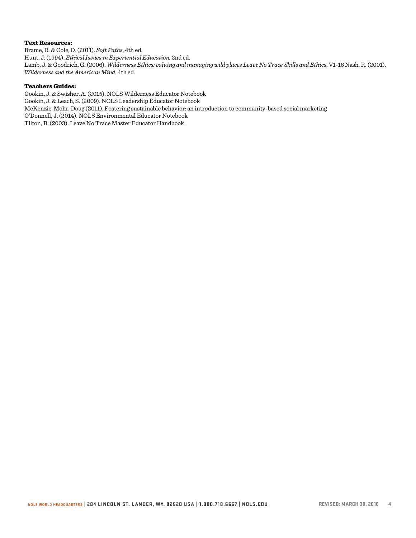#### Text Resources:

Brame, R. & Cole, D. (2011). *Soft Paths*, 4th ed. Hunt, J. (1994). *Ethical Issues in Experiential Education,* 2nd ed. Lamb, J. & Goodrich, G. (2006). *Wilderness Ethics: valuing and managing wild places Leave No Trace Skills and Ethics*, V1-16 Nash, R. (2001). *Wilderness and the American Mind*, 4th ed.

#### Teachers Guides:

Gookin, J. & Swisher, A. (2015). NOLS Wilderness Educator Notebook Gookin, J. & Leach, S. (2009). NOLS Leadership Educator Notebook McKenzie-Mohr, Doug (2011). Fostering sustainable behavior: an introduction to community-based social marketing O'Donnell, J. (2014). NOLS Environmental Educator Notebook Tilton, B. (2003). Leave No Trace Master Educator Handbook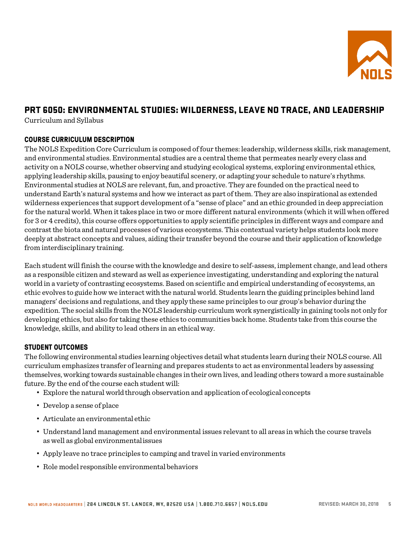

# PRT 6050: ENVIRONMENTAL STUDIES: WILDERNESS, LEAVE NO TRACE, AND LEADERSHIP

Curriculum and Syllabus

# **COURSE CURRICULUM DESCRIPTION**

The NOLS Expedition Core Curriculum is composed of four themes: leadership, wilderness skills, risk management, and environmental studies. Environmental studies are a central theme that permeates nearly every class and activity on a NOLS course, whether observing and studying ecological systems, exploring environmental ethics, applying leadership skills, pausing to enjoy beautiful scenery, or adapting your schedule to nature's rhythms. Environmental studies at NOLS are relevant, fun, and proactive. They are founded on the practical need to understand Earth's natural systems and how we interact as part of them. They are also inspirational as extended wilderness experiences that support development of a "sense of place" and an ethic grounded in deep appreciation for the natural world. When it takes place in two or more different natural environments (which it will when offered for 3 or 4 credits), this course offers opportunities to apply scientific principles in different ways and compare and contrast the biota and natural processes of various ecosystems. This contextual variety helps students look more deeply at abstract concepts and values, aiding their transfer beyond the course and their application of knowledge from interdisciplinary training.

Each student will finish the course with the knowledge and desire to self-assess, implement change, and lead others as a responsible citizen and steward as well as experience investigating, understanding and exploring the natural world in a variety of contrasting ecosystems. Based on scientific and empirical understanding of ecosystems, an ethic evolves to guide how we interact with the natural world. Students learn the guiding principles behind land managers' decisions and regulations, and they apply these same principles to our group's behavior during the expedition. The social skills from the NOLS leadership curriculum work synergistically in gaining tools not only for developing ethics, but also for taking these ethics to communities back home. Students take from this course the knowledge, skills, and ability to lead others in an ethicalway.

# **STUDENT OUTCOMES**

The following environmental studies learning objectives detail what students learn during their NOLS course. All curriculum emphasizes transfer of learning and prepares students to act as environmental leaders by assessing themselves, working towards sustainable changes in their own lives, and leading others toward a more sustainable future. By the end of the course each student will:

- Explore the natural world through observation and application of ecologicalconcepts
- Develop a sense of place
- Articulate an environmental ethic
- Understand land management and environmental issues relevant to all areas in which the course travels as well as global environmentalissues
- Apply leave no trace principles to camping and travel in varied environments
- Role model responsible environmentalbehaviors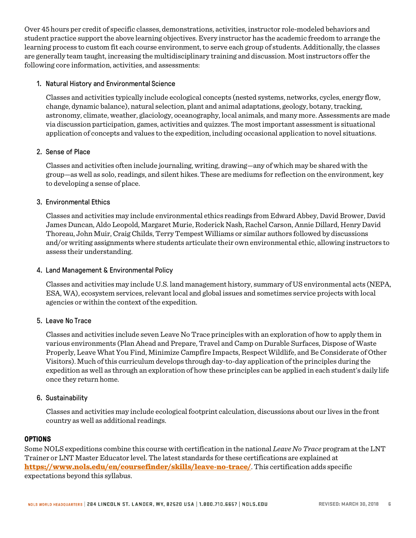Over 45 hours per credit of specific classes, demonstrations, activities, instructor role-modeled behaviors and student practice support the above learning objectives. Every instructor has the academic freedom to arrange the learning process to custom fit each course environment, to serve each group of students. Additionally, the classes are generally team taught, increasing the multidisciplinary training and discussion. Most instructors offer the following core information, activities, and assessments:

### 1. Natural History and Environmental Science

Classes and activities typically include ecological concepts (nested systems, networks, cycles, energy flow, change, dynamic balance), natural selection, plant and animal adaptations, geology, botany, tracking, astronomy, climate, weather, glaciology, oceanography, local animals, and many more. Assessments are made via discussion participation, games, activities and quizzes. The most important assessment is situational application of concepts and values to the expedition, including occasional application to novel situations.

# 2. Sense of Place

Classes and activities often include journaling, writing, drawing—any of which may be shared with the group—as well as solo, readings, and silent hikes. These are mediums for reflection on the environment, key to developing a sense of place.

# 3. Environmental Ethics

Classes and activities may include environmental ethics readings from Edward Abbey, David Brower, David James Duncan, Aldo Leopold, Margaret Murie, Roderick Nash, Rachel Carson, Annie Dillard, Henry David Thoreau, John Muir, Craig Childs, Terry Tempest Williams or similar authors followed by discussions and/or writing assignments where students articulate their own environmental ethic, allowing instructors to assess their understanding.

### 4. Land Management & Environmental Policy

Classes and activities may include U.S. land management history, summary of US environmental acts (NEPA, ESA, WA), ecosystem services, relevant local and global issues and sometimes service projects with local agencies or within the context of the expedition.

#### 5. Leave No Trace

Classes and activities include seven Leave No Trace principles with an exploration of how to apply them in various environments (Plan Ahead and Prepare, Travel and Camp on Durable Surfaces, Dispose of Waste Properly, Leave What You Find, Minimize Campfire Impacts, Respect Wildlife, and Be Considerate of Other Visitors). Much of this curriculum develops through day-to-day application of the principles during the expedition as well as through an exploration of how these principles can be applied in each student's daily life once they return home.

#### 6. Sustainability

Classes and activities may include ecological footprint calculation, discussions about our lives in the front country as well as additional readings.

#### **OPTIONS**

Some NOLS expeditions combine this course with certification in the national *Leave No Trace* program at the LNT Trainer or LNT Master Educator level. The latest standards for these certifications are explained at <https://www.nols.edu/en/coursefinder/skills/leave-no-trace/>. This certification adds specific expectations beyond this syllabus.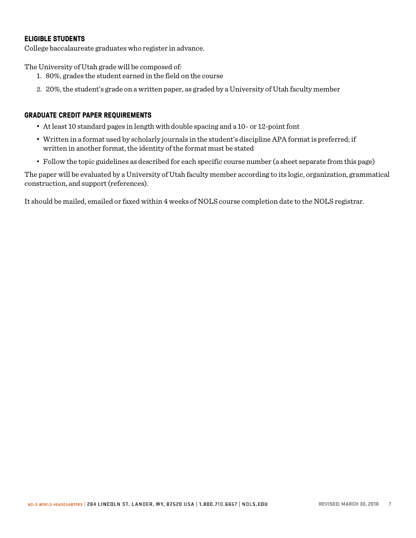# **ELIGIBLE STUDENTS**

College baccalaureate graduates who register in advance.

The University of Utah grade will be composed of:

- 1. 80%, grades the student earned in the field on the course
- 2. 20%, the student's grade on a written paper, as graded by a University of Utah faculty member

#### **GRADUATE CREDIT PAPER REQUIREMENTS**

- At least 10 standard pages in length with double spacing and a 10- or 12-point font
- Written in a format used by scholarly journals in the student's discipline APA format is preferred; if written in another format, the identity of the format must be stated
- Follow the topic guidelines as described for each specific course number (a sheet separate from this page)

The paper will be evaluated by a University of Utah faculty member according to its logic, organization, grammatical construction, and support (references).

It should be mailed, emailed or faxed within 4 weeks of NOLS course completion date to the NOLS registrar.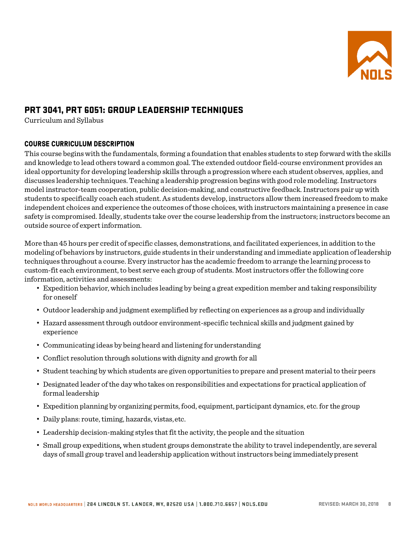

# PRT 3041, PRT 6051: GROUP LEADERSHIP TECHNIQUES

Curriculum and Syllabus

# **COURSE CURRICULUM DESCRIPTION**

This course begins with the fundamentals, forming a foundation that enables students to step forward with the skills and knowledge to lead others toward a common goal. The extended outdoor field-course environment provides an ideal opportunity for developing leadership skills through a progression where each student observes, applies, and discusses leadership techniques. Teaching a leadership progression begins with good role modeling. Instructors model instructor-team cooperation, public decision-making, and constructive feedback. Instructors pair up with students to specifically coach each student. As students develop, instructors allow them increased freedom to make independent choices and experience the outcomes of those choices, with instructors maintaining a presence in case safety is compromised. Ideally, students take over the course leadership from the instructors; instructors become an outside source of expert information.

More than 45 hours per credit of specific classes, demonstrations, and facilitated experiences, in addition to the modeling of behaviors by instructors, guide students in their understanding and immediate application of leadership techniques throughout a course. Every instructor has the academic freedom to arrange the learning process to custom-fit each environment, to best serve each group of students. Most instructors offer the following core information, activities and assessments:

- Expedition behavior, which includes leading by being a great expedition member and taking responsibility for oneself
- Outdoor leadership and judgment exemplified by reflecting on experiences as a group and individually
- Hazard assessment through outdoor environment-specific technical skills and judgment gained by experience
- Communicating ideas by being heard and listening forunderstanding
- Conflict resolution through solutions with dignity and growth for all
- Student teaching by which students are given opportunities to prepare and present material to their peers
- Designated leader of the day who takes on responsibilities and expectations for practical application of formal leadership
- Expedition planning by organizing permits, food, equipment, participant dynamics, etc. for the group
- Daily plans: route, timing, hazards, vistas,etc.
- Leadership decision-making styles that fit the activity, the people and the situation
- Small group expeditions, when student groups demonstrate the ability to travel independently, are several days of small group travel and leadership application without instructors being immediatelypresent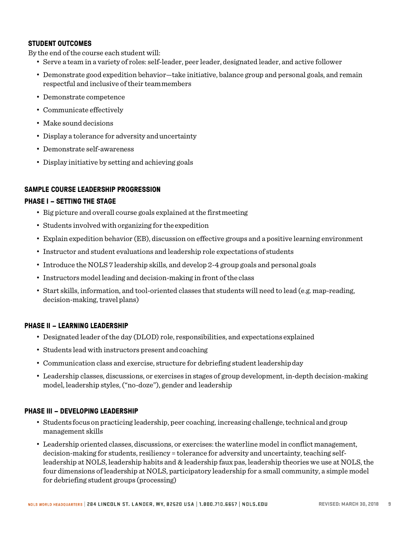#### **STUDENT OUTCOMES**

By the end of the course each student will:

- Serve a team in a variety of roles: self-leader, peer leader, designated leader, and active follower
- Demonstrate good expedition behavior—take initiative, balance group and personal goals, and remain respectful and inclusive of their teammembers
- Demonstrate competence
- Communicate effectively
- Make sound decisions
- Display a tolerance for adversity anduncertainty
- Demonstrate self-awareness
- Display initiative by setting and achieving goals

#### **SAMPLE COURSE LEADERSHIP PROGRESSION**

#### **PHASE I – SETTING THE STAGE**

- Big picture and overall course goals explained at the firstmeeting
- Students involved with organizing for the expedition
- Explain expedition behavior (EB), discussion on effective groups and a positive learning environment
- Instructor and student evaluations and leadership role expectations of students
- Introduce the NOLS 7 leadership skills, and develop 2-4 group goals and personal goals
- Instructors model leading and decision-making in front of theclass
- Start skills, information, and tool-oriented classes that students will need to lead (e.g. map-reading, decision-making, travel plans)

#### **PHASE II – LEARNING LEADERSHIP**

- Designated leader of the day (DLOD) role, responsibilities, and expectations explained
- Students lead with instructors present and coaching
- Communication class and exercise, structure for debriefing student leadershipday
- Leadership classes, discussions, or exercises in stages of group development, in-depth decision-making model, leadership styles, ("no-doze"), gender and leadership

#### **PHASE III – DEVELOPING LEADERSHIP**

- Students focus on practicing leadership, peer coaching, increasing challenge, technical and group management skills
- Leadership oriented classes, discussions, or exercises: the waterline model in conflict management, decision-making for students, resiliency = tolerance for adversity and uncertainty, teaching selfleadership at NOLS, leadership habits and & leadership faux pas, leadership theories we use at NOLS, the four dimensions of leadership at NOLS, participatory leadership for a small community, a simple model for debriefing student groups (processing)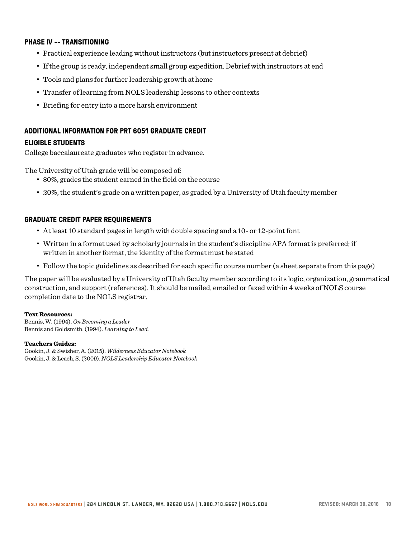#### **PHASE IV -- TRANSITIONING**

- Practical experience leading without instructors (but instructors present atdebrief)
- If the group is ready, independent small group expedition. Debrief with instructors at end
- Tools and plans for further leadership growth athome
- Transfer of learning from NOLS leadership lessons to other contexts
- Briefing for entry into a more harsh environment

#### **ADDITIONAL INFORMATION FOR PRT 6051 GRADUATE CREDIT**

#### **ELIGIBLE STUDENTS**

College baccalaureate graduates who register in advance.

The University of Utah grade will be composed of:

- 80%, grades the student earned in the field on thecourse
- 20%, the student's grade on a written paper, as graded by a University of Utah faculty member

#### **GRADUATE CREDIT PAPER REQUIREMENTS**

- At least 10 standard pages in length with double spacing and a 10- or 12-point font
- Written in a format used by scholarly journals in the student's discipline APA format is preferred; if written in another format, the identity of the format must be stated
- Follow the topic guidelines as described for each specific course number (a sheet separate from this page)

The paper will be evaluated by a University of Utah faculty member according to its logic, organization, grammatical construction, and support (references). It should be mailed, emailed or faxed within 4 weeks of NOLS course completion date to the NOLS registrar.

#### Text Resources:

Bennis, W. (1994). *On Becoming a Leader* Bennis and Goldsmith. (1994). *Learning to Lead.*

#### Teachers Guides:

Gookin, J. & Swisher, A. (2015). *Wilderness Educator Notebook* Gookin, J. & Leach, S. (2009). *NOLS Leadership Educator Notebook*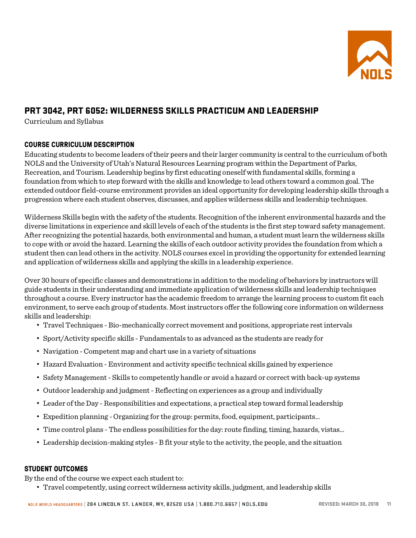

# PRT 3042, PRT 6052: WILDERNESS SKILLS PRACTICUM AND LEADERSHIP

Curriculum and Syllabus

# **COURSE CURRICULUM DESCRIPTION**

Educating students to become leaders of their peers and their larger community is central to the curriculum of both NOLS and the University of Utah's Natural Resources Learning program within the Department of Parks, Recreation, and Tourism. Leadership begins by first educating oneself with fundamental skills, forming a foundation from which to step forward with the skills and knowledge to lead others toward a common goal. The extended outdoor field-course environment provides an ideal opportunity for developing leadership skills through a progression where each student observes, discusses, and applies wilderness skills and leadership techniques.

Wilderness Skills begin with the safety of the students. Recognition of the inherent environmental hazards and the diverse limitations in experience and skill levels of each of the students is the first step toward safety management. After recognizing the potential hazards, both environmental and human, a student must learn the wilderness skills to cope with or avoid the hazard. Learning the skills of each outdoor activity provides the foundation from which a student then can lead others in the activity. NOLS courses excel in providing the opportunity for extended learning and application of wilderness skills and applying the skills in a leadership experience.

Over 30 hours of specific classes and demonstrations in addition to the modeling of behaviors by instructors will guide students in their understanding and immediate application of wilderness skills and leadership techniques throughout a course. Every instructor has the academic freedom to arrange the learning process to custom fit each environment, to serve each group of students. Most instructors offer the following core information on wilderness skills and leadership:

- Travel Techniques Bio-mechanically correct movement and positions, appropriate rest intervals
- Sport/Activity specific skills Fundamentals to as advanced as the students are ready for
- Navigation Competent map and chart use in a variety of situations
- Hazard Evaluation Environment and activity specific technical skills gained by experience
- Safety Management- Skills to competently handle or avoid a hazard or correct with back-up systems
- Outdoor leadership and judgment- Reflecting on experiences as a group and individually
- Leader of the Day Responsibilities and expectations, a practical step toward formal leadership
- Expedition planning Organizing for the group: permits, food, equipment, participants...
- Time control plans The endless possibilities for the day: route finding, timing, hazards, vistas...
- Leadership decision-making styles B fit your style to the activity, the people, and the situation

#### **STUDENT OUTCOMES**

By the end of the course we expect each student to:

• Travel competently, using correct wilderness activity skills, judgment, and leadership skills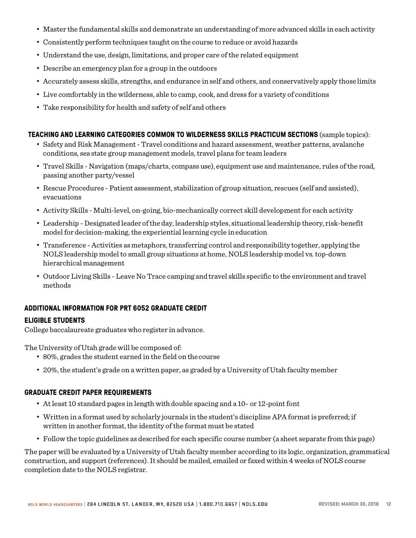- Master the fundamental skills and demonstrate an understanding of more advanced skills in each activity
- Consistently perform techniques taught on the course to reduce or avoid hazards
- Understand the use, design, limitations, and proper care of the related equipment
- Describe an emergency plan for a group in the outdoors
- Accurately assess skills, strengths, and endurance in self and others, and conservatively apply thoselimits
- Live comfortably in the wilderness, able to camp, cook, and dress for a variety of conditions
- Take responsibility for health and safety of self and others

#### **TEACHING AND LEARNING CATEGORIES COMMON TO WILDERNESS SKILLS PRACTICUM SECTIONS** (sample topics):

- Safety and Risk Management Travel conditions and hazard assessment, weather patterns, avalanche conditions, sea state group management models, travel plans for team leaders
- Travel Skills Navigation (maps/charts, compass use), equipment use and maintenance, rules of the road, passing another party/vessel
- Rescue Procedures Patient assessment, stabilization of group situation, rescues (self and assisted), evacuations
- Activity Skills Multi-level, on-going, bio-mechanically correct skill development for each activity
- Leadership Designated leader oftheday, leadership styles, situational leadership theory, risk-benefit model for decision-making, the experiential learning cycle ineducation
- Transference -Activities asmetaphors, transferring control and responsibility together, applying the NOLS leadership model to small group situations at home, NOLS leadership model vs. top-down hierarchicalmanagement
- Outdoor Living Skills Leave No Trace camping and travel skills specific to the environment and travel methods

#### **ADDITIONAL INFORMATION FOR PRT 6052 GRADUATE CREDIT**

#### **ELIGIBLE STUDENTS**

College baccalaureate graduates who register in advance.

The University of Utah grade will be composed of:

- 80%, grades the student earned in the field on thecourse
- 20%, the student's grade on a written paper, as graded by a University of Utah faculty member

#### **GRADUATE CREDIT PAPER REQUIREMENTS**

- At least 10 standard pages in length with double spacing and a 10- or 12-point font
- Written in a format used by scholarly journals in the student's discipline APA format is preferred; if written in another format, the identity of the format must be stated
- Follow the topic guidelines as described for each specific course number (a sheet separate from this page)

The paper will be evaluated by a University of Utah faculty member according to its logic, organization, grammatical construction, and support (references). It should be mailed, emailed or faxed within 4 weeks of NOLS course completion date to the NOLS registrar.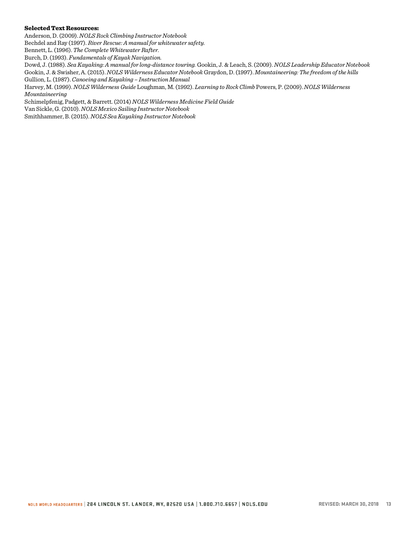#### Selected Text Resources:

Anderson, D. (2009). *NOLS Rock Climbing Instructor Notebook*

Bechdel and Ray (1997). *River Rescue: A manual for whitewater safety.*

Bennett, L. (1996). *The Complete Whitewater Rafter.*

Burch, D. (1993). *Fundamentals of Kayak Navigation.*

Dowd, J. (1988). *Sea Kayaking: A manual for long-distance touring.* Gookin, J. & Leach, S. (2009). *NOLS Leadership Educator Notebook*  Gookin, J. & Swisher, A. (2015). *NOLS Wilderness Educator Notebook* Graydon, D. (1997). *Mountaineering: The freedom of the hills* Gullion, L. (1987). *Canoeing and Kayaking – Instruction Manual*

Harvey, M. (1999). *NOLS Wilderness Guide* Loughman, M. (1992). *Learning to Rock Climb* Powers, P. (2009). *NOLS Wilderness Mountaineering*

Schimelpfenig, Padgett, & Barrett. (2014) *NOLS Wilderness Medicine Field Guide*

Van Sickle, G. (2010). *NOLS Mexico Sailing Instructor Notebook*

Smithhammer, B. (2015). *NOLS Sea Kayaking Instructor Notebook*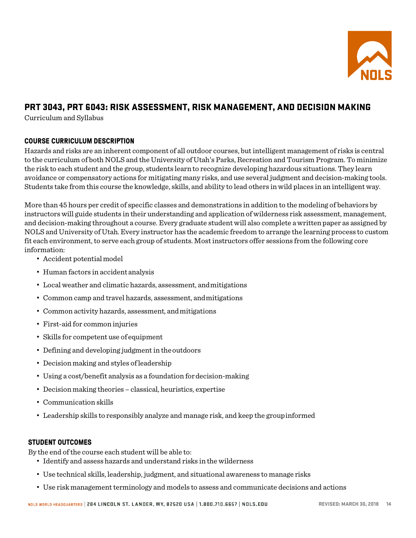

# PRT 3043, PRT 6043: RISK ASSESSMENT, RISK MANAGEMENT, AND DECISION MAKING

Curriculum and Syllabus

# **COURSE CURRICULUM DESCRIPTION**

Hazards and risks are an inherent component of all outdoor courses, but intelligent management of risks is central to the curriculum of both NOLS and the University of Utah's Parks, Recreation and Tourism Program. To minimize the risk to each student and the group, students learn to recognize developing hazardous situations. They learn avoidance or compensatory actions for mitigating many risks, and use several judgment and decision-making tools. Students take from this course the knowledge, skills, and ability to lead others in wild places in an intelligent way.

More than 45 hours per credit of specific classes and demonstrations in addition to the modeling of behaviors by instructors will guide students in their understanding and application of wilderness risk assessment, management, and decision-making throughout a course. Every graduate student will also complete a written paper as assigned by NOLS and University of Utah. Every instructor has the academic freedom to arrange the learning process to custom fit each environment, to serve each group of students. Most instructors offer sessions from the following core information:

- Accident potentialmodel
- Human factors in accident analysis
- Local weather and climatic hazards, assessment, andmitigations
- Common camp and travel hazards, assessment, andmitigations
- Common activity hazards, assessment, andmitigations
- First-aid for common injuries
- Skills for competent use of equipment
- Defining and developing judgment in theoutdoors
- Decision making and styles ofleadership
- Using a cost/benefit analysis as a foundation for decision-making
- Decision making theories classical, heuristics, expertise
- Communication skills
- Leadership skills to responsibly analyze and manage risk, and keep the groupinformed

# **STUDENT OUTCOMES**

By the end of the course each student will be able to:

- Identify and assess hazards and understand risks in the wilderness
- Use technical skills, leadership, judgment, and situational awareness to manage risks
- Use risk management terminology and models to assess and communicate decisions and actions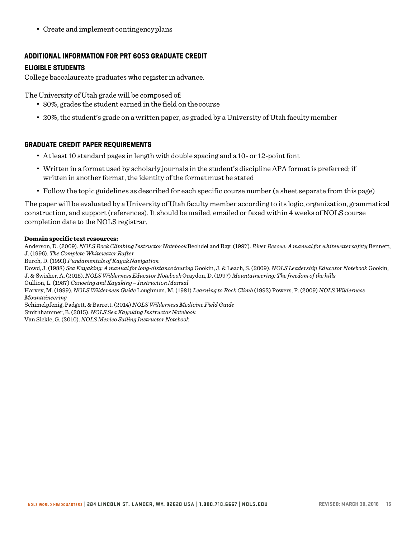• Create and implement contingencyplans

# **ADDITIONAL INFORMATION FOR PRT 6053 GRADUATE CREDIT**

# **ELIGIBLE STUDENTS**

College baccalaureate graduates who register in advance.

The University of Utah grade will be composed of:

- 80%, grades the student earned in the field on thecourse
- 20%, the student's grade on a written paper, as graded by a University of Utah faculty member

# **GRADUATE CREDIT PAPER REQUIREMENTS**

- At least 10 standard pages in length with double spacing and a 10- or 12-point font
- Written in a format used by scholarly journals in the student's discipline APA format is preferred; if written in another format, the identity of the format must be stated
- Follow the topic guidelines as described for each specific course number (a sheet separate from this page)

The paper will be evaluated by a University of Utah faculty member according to its logic, organization, grammatical construction, and support (references). It should be mailed, emailed or faxed within 4 weeks of NOLS course completion date to the NOLS registrar.

# Domain specific text resources:

Anderson, D. (2009). *NOLS Rock Climbing Instructor Notebook* Bechdel and Ray. (1997). *River Rescue: A manual for whitewatersafety* Bennett, J. (1996). *The Complete Whitewater Rafter*

Burch, D. (1993) *Fundamentals of KayakNavigation*

Dowd, J. (1988) *Sea Kayaking: A manual for long-distance touring* Gookin, J. & Leach, S. (2009). *NOLS Leadership Educator Notebook* Gookin, J. & Swisher, A. (2015). *NOLS Wilderness Educator Notebook* Graydon, D. (1997) *Mountaineering: The freedom of the hills*

Gullion, L. (1987) *Canoeing and Kayaking – Instruction Manual*

Harvey, M. (1999). *NOLS Wilderness Guide* Loughman, M. (1981) *Learning to Rock Climb* (1992) Powers, P. (2009) *NOLS Wilderness Mountaineering*

Schimelpfenig, Padgett, & Barrett. (2014) *NOLS Wilderness Medicine Field Guide* Smithhammer, B. (2015). *NOLS Sea Kayaking Instructor Notebook*

Van Sickle, G. (2010). *NOLS Mexico Sailing Instructor Notebook*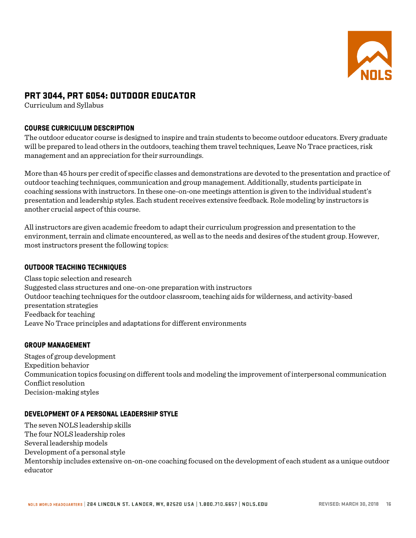

# PRT 3044, PRT 6054: OUTDOOR EDUCATOR

Curriculum and Syllabus

# **COURSE CURRICULUM DESCRIPTION**

The outdoor educator course is designed to inspire and train students to become outdoor educators. Every graduate will be prepared to lead others in the outdoors, teaching them travel techniques, Leave No Trace practices, risk management and an appreciation for their surroundings.

More than 45 hours per credit of specific classes and demonstrations are devoted to the presentation and practice of outdoor teaching techniques, communication and group management. Additionally, students participate in coaching sessions with instructors. In these one-on-one meetings attention is given to the individual student's presentation and leadership styles. Each student receives extensive feedback. Role modeling by instructors is another crucial aspect of this course.

All instructors are given academic freedom to adapt their curriculum progression and presentation to the environment, terrain and climate encountered, as well as to the needs and desires of the student group. However, most instructors present the following topics:

### **OUTDOOR TEACHING TECHNIQUES**

Class topic selection and research Suggested class structures and one-on-one preparation with instructors Outdoor teaching techniques for the outdoor classroom, teaching aids for wilderness, and activity-based presentation strategies Feedback for teaching Leave No Trace principles and adaptations for different environments

#### **GROUP MANAGEMENT**

Stages of group development Expedition behavior Communication topics focusing on different tools and modeling the improvement of interpersonal communication Conflict resolution Decision-making styles

#### **DEVELOPMENT OF A PERSONAL LEADERSHIP STYLE**

The seven NOLS leadership skills The four NOLS leadership roles Several leadership models Development of a personal style Mentorship includes extensive on-on-one coaching focused on the development of each student as a unique outdoor educator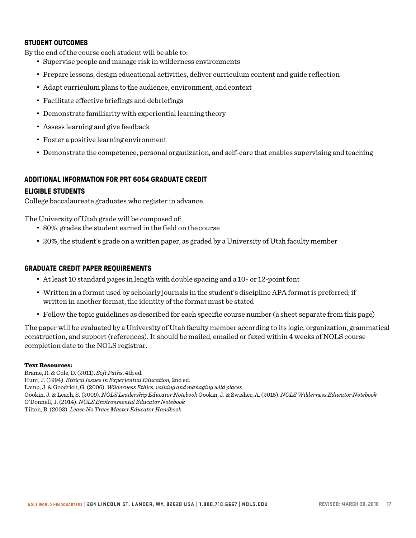### **STUDENT OUTCOMES**

By the end of the course each student will be able to:

- Supervise people and manage risk in wilderness environments
- Prepare lessons, design educational activities, deliver curriculum content and guide reflection
- Adapt curriculum plans to the audience, environment, and context
- Facilitate effective briefings and debriefings
- Demonstrate familiarity with experiential learning theory
- Assess learning and give feedback
- Foster a positive learning environment
- Demonstrate the competence, personal organization, and self-care that enables supervising and teaching

# **ADDITIONAL INFORMATION FOR PRT 6054 GRADUATE CREDIT**

#### **ELIGIBLE STUDENTS**

College baccalaureate graduates who register in advance.

The University of Utah grade will be composed of:

- 80%, grades the student earned in the field on thecourse
- 20%, the student's grade on a written paper, as graded by a University of Utah faculty member

#### **GRADUATE CREDIT PAPER REQUIREMENTS**

- At least 10 standard pages in length with double spacing and a 10- or 12-point font
- Written in a format used by scholarly journals in the student's discipline APA format is preferred; if written in another format, the identity of the format must be stated
- Follow the topic guidelines as described for each specific course number (a sheet separate from this page)

The paper will be evaluated by a University of Utah faculty member according to its logic, organization, grammatical construction, and support (references). It should be mailed, emailed or faxed within 4 weeks of NOLS course completion date to the NOLS registrar.

#### Text Resources:

Brame, R. & Cole, D. (2011). *Soft Paths*, 4th ed. Hunt, J. (1994). *Ethical Issues in Experiential Education,* 2nd ed. Lamb, J. & Goodrich, G. (2006). *Wilderness Ethics: valuing and managing wild places* Gookin, J. & Leach, S. (2009). *NOLS Leadership Educator Notebook* Gookin, J. & Swisher, A. (2015). *NOLS Wilderness Educator Notebook*  O'Donnell, J. (2014). *NOLS Environmental Educator Notebook* Tilton, B. (2003). *Leave No Trace Master Educator Handbook*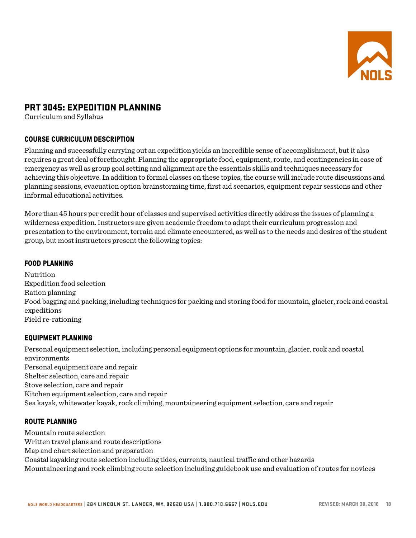

# PRT 3045: EXPEDITION PLANNING

Curriculum and Syllabus

# **COURSE CURRICULUM DESCRIPTION**

Planning and successfully carrying out an expedition yields an incredible sense of accomplishment, but it also requires a great deal of forethought. Planning the appropriate food, equipment, route, and contingencies in case of emergency as well as group goal setting and alignment are the essentials skills and techniques necessary for achieving this objective. In addition to formal classes on these topics, the course will include route discussions and planning sessions, evacuation option brainstorming time, first aid scenarios, equipment repair sessions and other informal educational activities.

More than 45 hours per credit hour of classes and supervised activities directly address the issues of planning a wilderness expedition. Instructors are given academic freedom to adapt their curriculum progression and presentation to the environment, terrain and climate encountered, as well as to the needs and desires of the student group, but most instructors present the following topics:

# **FOOD PLANNING**

Nutrition Expedition food selection Ration planning Food bagging and packing, including techniques for packing and storing food for mountain, glacier, rock and coastal expeditions Field re-rationing

#### **EQUIPMENT PLANNING**

Personal equipment selection, including personal equipment options for mountain, glacier, rock and coastal environments Personal equipment care and repair Shelter selection, care and repair Stove selection, care and repair Kitchen equipment selection, care and repair Sea kayak, whitewater kayak, rock climbing, mountaineering equipment selection, care and repair

#### **ROUTE PLANNING**

Mountain route selection Written travel plans and route descriptions Map and chart selection and preparation Coastal kayaking route selection including tides, currents, nautical traffic and other hazards Mountaineering and rock climbing route selection including guidebook use and evaluation of routes for novices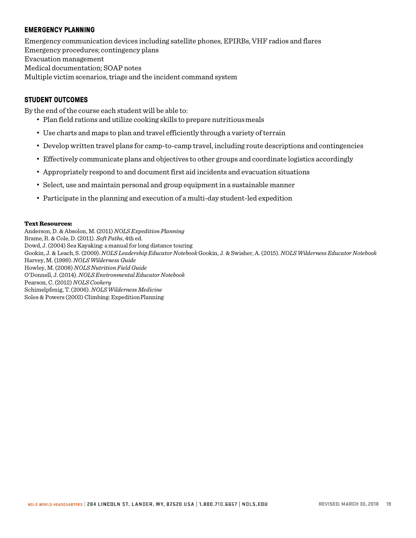### **EMERGENCY PLANNING**

Emergency communication devices including satellite phones, EPIRBs, VHF radios and flares Emergency procedures; contingency plans Evacuation management Medical documentation; SOAP notes Multiple victim scenarios, triage and the incident command system

#### **STUDENT OUTCOMES**

By the end of the course each student will be able to:

- Plan field rations and utilize cooking skills to prepare nutritious meals
- Use charts and maps to plan and travel efficiently through a variety of terrain
- Develop written travel plans for camp-to-camp travel, including route descriptions and contingencies
- Effectively communicate plans and objectives to other groups and coordinate logistics accordingly
- Appropriately respond to and document first aid incidents and evacuation situations
- Select, use and maintain personal and group equipment in a sustainable manner
- Participate in the planning and execution of a multi-day student-led expedition

#### Text Resources:

Anderson, D. & Absolon, M. (2011) *NOLS Expedition Planning* Brame, R. & Cole, D. (2011). *Soft Paths*, 4th ed. Dowd, J. (2004) Sea Kayaking: a manual for long distance touring Gookin, J. & Leach, S. (2009). *NOLS Leadership Educator Notebook* Gookin, J. & Swisher, A. (2015). *NOLS Wilderness Educator Notebook*  Harvey, M. (1999). *NOLS Wilderness Guide* Howley, M. (2008) *NOLS Nutrition Field Guide* O'Donnell, J. (2014). *NOLS Environmental Educator Notebook* Pearson, C. (2012) *NOLS Cookery* Schimelpfenig, T. (2006). *NOLS Wilderness Medicine* Soles & Powers (2003) Climbing: ExpeditionPlanning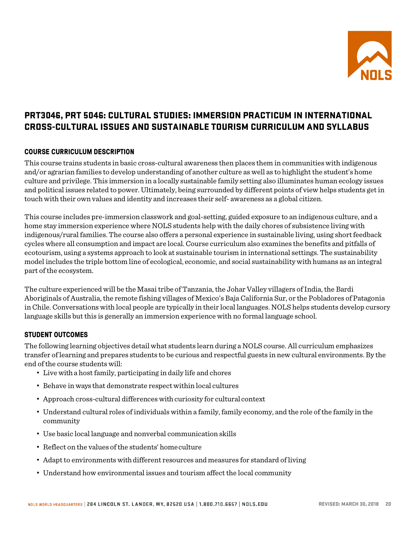

# PRT3046, PRT 5046: CULTURAL STUDIES: IMMERSION PRACTICUM IN INTERNATIONAL CROSS-CULTURAL ISSUES AND SUSTAINABLE TOURISM CURRICULUM AND SYLLABUS

# **COURSE CURRICULUM DESCRIPTION**

This course trains students in basic cross-cultural awareness then places them in communities with indigenous and/or agrarian families to develop understanding of another culture as well as to highlight the student's home culture and privilege. This immersion in a locally sustainable family setting also illuminates human ecology issues and political issues related to power. Ultimately, being surrounded by different points of view helps students get in touch with their own values and identity and increases their self- awareness as a global citizen.

This course includes pre-immersion classwork and goal-setting, guided exposure to an indigenous culture, and a home stay immersion experience where NOLS students help with the daily chores of subsistence living with indigenous/rural families. The course also offers a personal experience in sustainable living, using short feedback cycles where all consumption and impact are local. Course curriculum also examines the benefits and pitfalls of ecotourism, using a systems approach to look at sustainable tourism in international settings. The sustainability model includes the triple bottom line of ecological, economic, and social sustainability with humans as an integral part of the ecosystem.

The culture experienced will be the Masai tribe of Tanzania, the Johar Valley villagers of India, the Bardi Aboriginals of Australia, the remote fishing villages of Mexico's Baja California Sur, or the Pobladores of Patagonia in Chile. Conversations with local people are typically in their local languages. NOLS helps students develop cursory language skills but this is generally an immersion experience with no formal language school.

#### **STUDENT OUTCOMES**

The following learning objectives detail what students learn during a NOLS course. All curriculum emphasizes transfer of learning and prepares students to be curious and respectful guests in new cultural environments. By the end of the course students will:

- Live with a host family, participating in daily life and chores
- Behave in ways that demonstrate respect within local cultures
- Approach cross-cultural differences with curiosity for cultural context
- Understand cultural roles of individuals within a family, family economy, and the role ofthe family in the community
- Use basic local language and nonverbal communication skills
- Reflect on the values of the students' homeculture
- Adapt to environments with different resources and measures for standard of living
- Understand how environmental issues and tourism affect the local community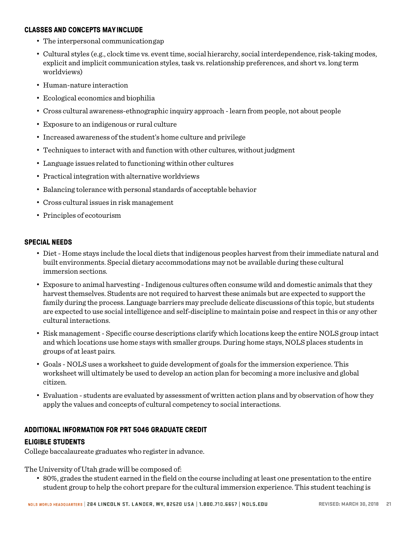#### **CLASSES AND CONCEPTS MAYINCLUDE**

- The interpersonal communicationgap
- Cultural styles (e.g., clock time vs. event time, social hierarchy, social interdependence, risk-taking modes, explicit and implicit communication styles, task vs. relationship preferences, and short vs. long term worldviews)
- Human-nature interaction
- Ecological economics and biophilia
- Cross cultural awareness-ethnographic inquiry approach -learn from people, not about people
- Exposure to an indigenous or rural culture
- Increased awareness of the student's home culture and privilege
- Techniques to interact with and function with other cultures, without judgment
- Language issues related to functioning within other cultures
- Practical integration with alternative worldviews
- Balancing tolerance with personal standards of acceptable behavior
- Cross cultural issues in risk management
- Principles of ecotourism

#### **SPECIAL NEEDS**

- Diet Home stays include the local diets that indigenous peoples harvest from their immediate natural and built environments. Special dietary accommodations may not be available during these cultural immersion sections.
- Exposure to animal harvesting Indigenous cultures often consume wild and domestic animals that they harvest themselves. Students are not required to harvest these animals but are expected to support the family during the process. Language barriers may preclude delicate discussions of this topic, but students are expected to use social intelligence and self-discipline to maintain poise and respect in this or any other cultural interactions.
- Risk management- Specific course descriptions clarify which locations keep the entire NOLS group intact and which locations use home stays with smaller groups. During home stays, NOLS places students in groups of at least pairs.
- Goals NOLS uses a worksheet to guide development of goals for the immersion experience. This worksheet will ultimately be used to develop an action plan for becoming a more inclusive and global citizen.
- Evaluation students are evaluated by assessment of written action plans and by observation of how they apply the values and concepts of cultural competency to social interactions.

#### **ADDITIONAL INFORMATION FOR PRT 5046 GRADUATE CREDIT**

#### **ELIGIBLE STUDENTS**

College baccalaureate graduates who register in advance.

The University of Utah grade will be composed of:

• 80%, grades the student earned in the field on the course including at least one presentation to the entire student group to help the cohort prepare for the cultural immersion experience. This student teaching is